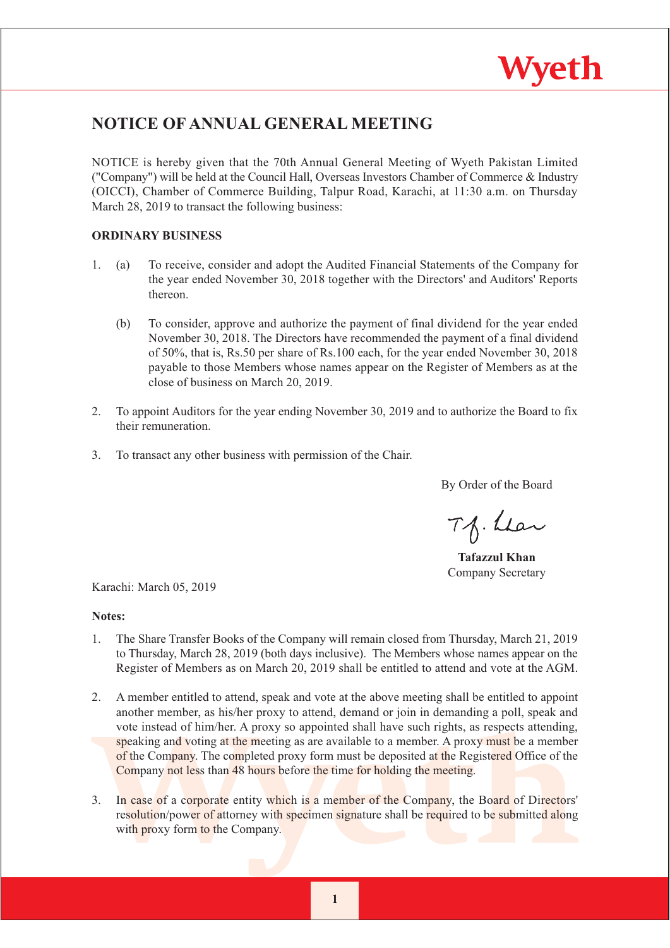

## **NOTICE OF ANNUAL GENERAL MEETING**

NOTICE is hereby given that the 70th Annual General Meeting of Wyeth Pakistan Limited ("Company") will be held at the Council Hall, Overseas Investors Chamber of Commerce & Industry (OICCI), Chamber of Commerce Building, Talpur Road, Karachi, at 11:30 a.m. on Thursday March 28, 2019 to transact the following business:

## **ORDINARY BUSINESS**

- To receive, consider and adopt the Audited Financial Statements of the Company for  $1.$  $(a)$ the year ended November 30, 2018 together with the Directors' and Auditors' Reports thereon.
	- $(b)$ To consider, approve and authorize the payment of final dividend for the year ended November 30, 2018. The Directors have recommended the payment of a final dividend of 50%, that is, Rs.50 per share of Rs.100 each, for the year ended November 30, 2018 payable to those Members whose names appear on the Register of Members as at the close of business on March 20, 2019.
- $2.$ To appoint Auditors for the year ending November 30, 2019 and to authorize the Board to fix their remuneration.
- $\overline{3}$ . To transact any other business with permission of the Chair.

By Order of the Board

Tf. Lear

**Tafazzul Khan** Company Secretary

Karachi: March 05, 2019

### Notes:

- The Share Transfer Books of the Company will remain closed from Thursday, March 21, 2019  $1_{-}$ to Thursday, March 28, 2019 (both days inclusive). The Members whose names appear on the Register of Members as on March 20, 2019 shall be entitled to attend and vote at the AGM.
- $2.$ A member entitled to attend, speak and vote at the above meeting shall be entitled to appoint another member, as his/her proxy to attend, demand or join in demanding a poll, speak and vote instead of him/her. A proxy so appointed shall have such rights, as respects attending, speaking and voting at the meeting as are available to a member. A proxy must be a member of the Company. The completed proxy form must be deposited at the Registered Office of the Company not less than 48 hours before the time for holding the meeting.
- $3<sub>1</sub>$ In case of a corporate entity which is a member of the Company, the Board of Directors' resolution/power of attorney with specimen signature shall be required to be submitted along with proxy form to the Company.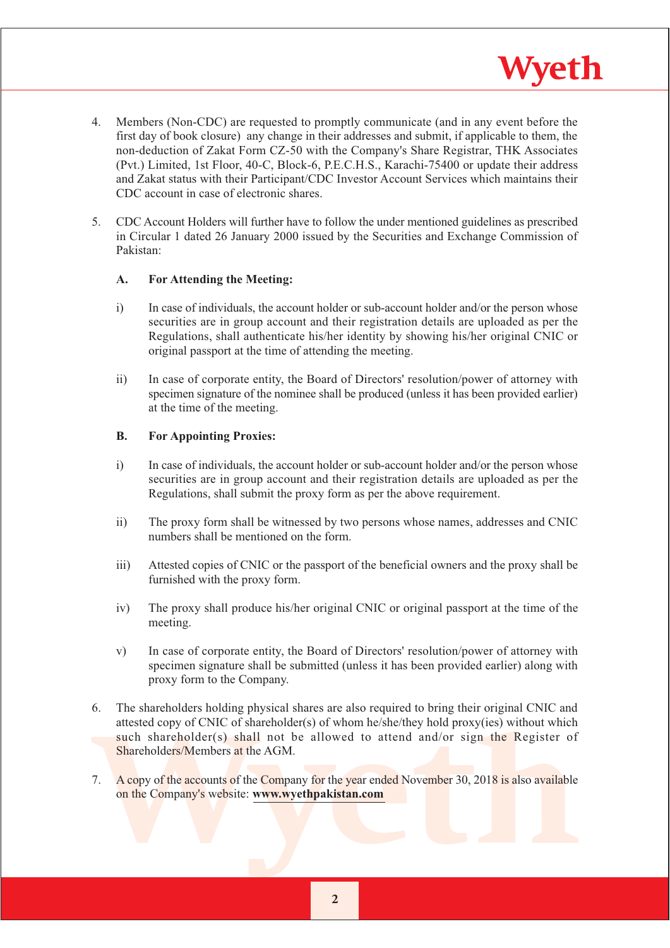$4.$ Members (Non-CDC) are requested to promptly communicate (and in any event before the first day of book closure) any change in their addresses and submit, if applicable to them, the non-deduction of Zakat Form CZ-50 with the Company's Share Registrar, THK Associates (Pvt.) Limited, 1st Floor, 40-C, Block-6, P.E.C.H.S., Karachi-75400 or update their address and Zakat status with their Participant/CDC Investor Account Services which maintains their CDC account in case of electronic shares

Wyeth

5. CDC Account Holders will further have to follow the under mentioned guidelines as prescribed in Circular 1 dated 26 January 2000 issued by the Securities and Exchange Commission of Pakistan:

### $\mathbf{A}$ . **For Attending the Meeting:**

- $i)$ In case of individuals, the account holder or sub-account holder and/or the person whose securities are in group account and their registration details are uploaded as per the Regulations, shall authenticate his/her identity by showing his/her original CNIC or original passport at the time of attending the meeting.
- $\overline{11}$ In case of corporate entity, the Board of Directors' resolution/power of attorney with specimen signature of the nominee shall be produced (unless it has been provided earlier) at the time of the meeting.

### **B. For Appointing Proxies:**

- $i)$ In case of individuals, the account holder or sub-account holder and/or the person whose securities are in group account and their registration details are uploaded as per the Regulations, shall submit the proxy form as per the above requirement.
- $\overline{ii}$ The proxy form shall be witnessed by two persons whose names, addresses and CNIC numbers shall be mentioned on the form.
- $\overline{\text{iii}}$ Attested copies of CNIC or the passport of the beneficial owners and the proxy shall be furnished with the proxy form.
- $iv)$ The proxy shall produce his/her original CNIC or original passport at the time of the meeting.
- In case of corporate entity, the Board of Directors' resolution/power of attorney with  $V)$ specimen signature shall be submitted (unless it has been provided earlier) along with proxy form to the Company.
- The shareholders holding physical shares are also required to bring their original CNIC and 6. attested copy of CNIC of shareholder(s) of whom he/she/they hold proxy(ies) without which such shareholder(s) shall not be allowed to attend and/or sign the Register of Shareholders/Members at the AGM.
- 7. A copy of the accounts of the Company for the year ended November 30, 2018 is also available on the Company's website: www.wyethpakistan.com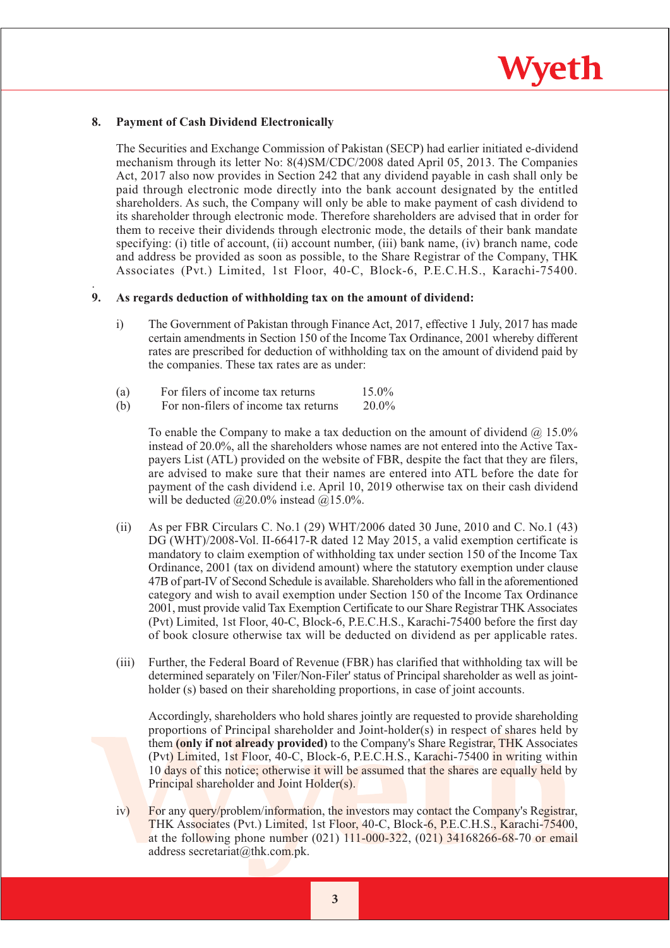# Wyeth

### 8. **Payment of Cash Dividend Electronically**

The Securities and Exchange Commission of Pakistan (SECP) had earlier initiated e-dividend mechanism through its letter No: 8(4)SM/CDC/2008 dated April 05, 2013. The Companies Act, 2017 also now provides in Section 242 that any dividend payable in cash shall only be paid through electronic mode directly into the bank account designated by the entitled shareholders. As such, the Company will only be able to make payment of cash dividend to its shareholder through electronic mode. Therefore shareholders are advised that in order for them to receive their dividends through electronic mode, the details of their bank mandate specifying: (i) title of account, (ii) account number, (iii) bank name, (iv) branch name, code and address be provided as soon as possible, to the Share Registrar of the Company, THK Associates (Pvt.) Limited, 1st Floor, 40-C, Block-6, P.E.C.H.S., Karachi-75400.

### $\mathbf{Q}$ As regards deduction of withholding tax on the amount of dividend:

- $i)$ The Government of Pakistan through Finance Act, 2017, effective 1 July, 2017 has made certain amendments in Section 150 of the Income Tax Ordinance, 2001 whereby different rates are prescribed for deduction of withholding tax on the amount of dividend paid by the companies. These tax rates are as under:
- $(a)$ For filers of income tax returns  $15.0\%$
- For non-filers of income tax returns  $(b)$  $20.0\%$

To enable the Company to make a tax deduction on the amount of dividend  $(a)$  15.0% instead of 20.0%, all the shareholders whose names are not entered into the Active Taxpayers List (ATL) provided on the website of FBR, despite the fact that they are filers, are advised to make sure that their names are entered into ATL before the date for payment of the cash dividend i.e. April 10, 2019 otherwise tax on their cash dividend will be deducted  $@20.0\%$  instead  $@15.0\%$ .

- $(ii)$ As per FBR Circulars C, No.1 (29) WHT/2006 dated 30 June, 2010 and C, No.1 (43) DG (WHT)/2008-Vol. II-66417-R dated 12 May 2015, a valid exemption certificate is mandatory to claim exemption of withholding tax under section 150 of the Income Tax Ordinance, 2001 (tax on dividend amount) where the statutory exemption under clause 47B of part-IV of Second Schedule is available. Shareholders who fall in the aforementioned category and wish to avail exemption under Section 150 of the Income Tax Ordinance 2001, must provide valid Tax Exemption Certificate to our Share Registrar THK Associates (Pvt) Limited, 1st Floor, 40-C, Block-6, P.E.C.H.S., Karachi-75400 before the first day of book closure otherwise tax will be deducted on dividend as per applicable rates.
- $(iii)$ Further, the Federal Board of Revenue (FBR) has clarified that withholding tax will be determined separately on 'Filer'Non-Filer' status of Principal shareholder as well as jointholder (s) based on their shareholding proportions, in case of joint accounts.

Accordingly, shareholders who hold shares jointly are requested to provide shareholding proportions of Principal shareholder and Joint-holder(s) in respect of shares held by them (only if not already provided) to the Company's Share Registrar, THK Associates (Pvt) Limited, 1st Floor, 40-C, Block-6, P.E.C.H.S., Karachi-75400 in writing within 10 days of this notice; otherwise it will be assumed that the shares are equally held by Principal shareholder and Joint Holder(s).

 $iv)$ For any query/problem/information, the investors may contact the Company's Registrar, THK Associates (Pvt.) Limited. 1st Floor. 40-C. Block-6, P.E.C.H.S., Karachi-75400. at the following phone number (021)  $111-000-322$ , (021) 34168266-68-70 or email address secretariat@thk.com.pk.